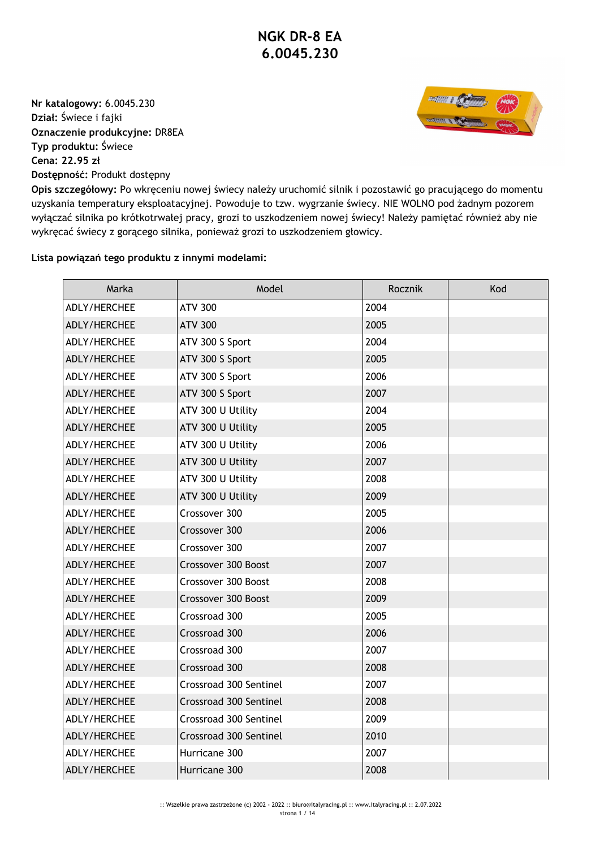**Nr katalogowy:** 6.0045.230 **Dział:** Świece i fajki **Oznaczenie produkcyjne:** DR8EA **Typ produktu:** Świece **Cena: 22.95 zł Dostępność:** Produkt dostępny



**Opis szczegółowy:** Po wkręceniu nowej świecy należy uruchomić silnik i pozostawić go pracującego do momentu uzyskania temperatury eksploatacyjnej. Powoduje to tzw. wygrzanie świecy. NIE WOLNO pod żadnym pozorem wyłączać silnika po krótkotrwałej pracy, grozi to uszkodzeniem nowej świecy! Należy pamiętać również aby nie wykręcać świecy z gorącego silnika, ponieważ grozi to uszkodzeniem głowicy.

## **Lista powiązań tego produktu z innymi modelami:**

| Marka               | Model                  | Rocznik | Kod |
|---------------------|------------------------|---------|-----|
| <b>ADLY/HERCHEE</b> | <b>ATV 300</b>         | 2004    |     |
| ADLY/HERCHEE        | <b>ATV 300</b>         | 2005    |     |
| ADLY/HERCHEE        | ATV 300 S Sport        | 2004    |     |
| ADLY/HERCHEE        | ATV 300 S Sport        | 2005    |     |
| <b>ADLY/HERCHEE</b> | ATV 300 S Sport        | 2006    |     |
| <b>ADLY/HERCHEE</b> | ATV 300 S Sport        | 2007    |     |
| ADLY/HERCHEE        | ATV 300 U Utility      | 2004    |     |
| ADLY/HERCHEE        | ATV 300 U Utility      | 2005    |     |
| ADLY/HERCHEE        | ATV 300 U Utility      | 2006    |     |
| ADLY/HERCHEE        | ATV 300 U Utility      | 2007    |     |
| ADLY/HERCHEE        | ATV 300 U Utility      | 2008    |     |
| ADLY/HERCHEE        | ATV 300 U Utility      | 2009    |     |
| ADLY/HERCHEE        | Crossover 300          | 2005    |     |
| ADLY/HERCHEE        | Crossover 300          | 2006    |     |
| <b>ADLY/HERCHEE</b> | Crossover 300          | 2007    |     |
| ADLY/HERCHEE        | Crossover 300 Boost    | 2007    |     |
| <b>ADLY/HERCHEE</b> | Crossover 300 Boost    | 2008    |     |
| ADLY/HERCHEE        | Crossover 300 Boost    | 2009    |     |
| ADLY/HERCHEE        | Crossroad 300          | 2005    |     |
| <b>ADLY/HERCHEE</b> | Crossroad 300          | 2006    |     |
| ADLY/HERCHEE        | Crossroad 300          | 2007    |     |
| <b>ADLY/HERCHEE</b> | Crossroad 300          | 2008    |     |
| <b>ADLY/HERCHEE</b> | Crossroad 300 Sentinel | 2007    |     |
| ADLY/HERCHEE        | Crossroad 300 Sentinel | 2008    |     |
| ADLY/HERCHEE        | Crossroad 300 Sentinel | 2009    |     |
| ADLY/HERCHEE        | Crossroad 300 Sentinel | 2010    |     |
| ADLY/HERCHEE        | Hurricane 300          | 2007    |     |
| ADLY/HERCHEE        | Hurricane 300          | 2008    |     |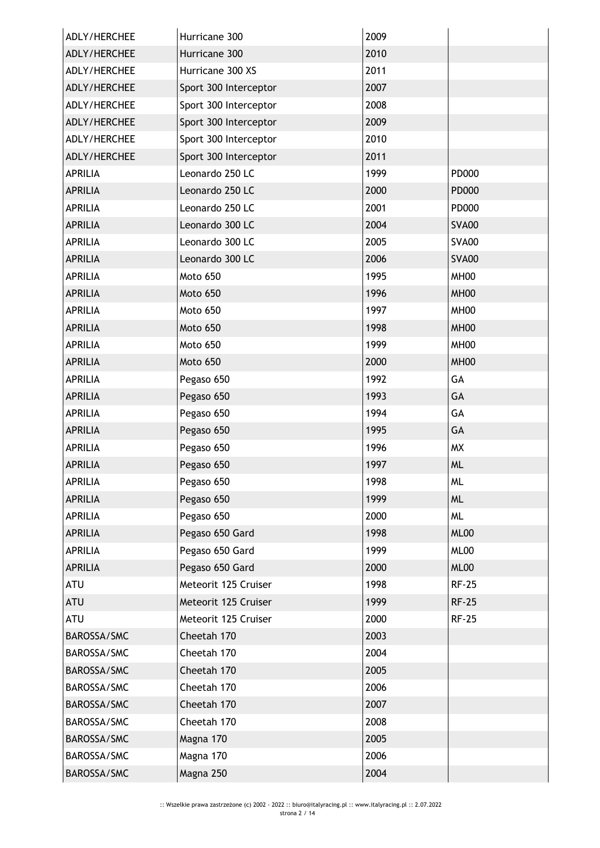| ADLY/HERCHEE   | Hurricane 300         | 2009 |                  |
|----------------|-----------------------|------|------------------|
| ADLY/HERCHEE   | Hurricane 300         | 2010 |                  |
| ADLY/HERCHEE   | Hurricane 300 XS      | 2011 |                  |
| ADLY/HERCHEE   | Sport 300 Interceptor | 2007 |                  |
| ADLY/HERCHEE   | Sport 300 Interceptor | 2008 |                  |
| ADLY/HERCHEE   | Sport 300 Interceptor | 2009 |                  |
| ADLY/HERCHEE   | Sport 300 Interceptor | 2010 |                  |
| ADLY/HERCHEE   | Sport 300 Interceptor | 2011 |                  |
| <b>APRILIA</b> | Leonardo 250 LC       | 1999 | PD000            |
| <b>APRILIA</b> | Leonardo 250 LC       | 2000 | PD000            |
| <b>APRILIA</b> | Leonardo 250 LC       | 2001 | PD000            |
| <b>APRILIA</b> | Leonardo 300 LC       | 2004 | <b>SVA00</b>     |
| <b>APRILIA</b> | Leonardo 300 LC       | 2005 | <b>SVA00</b>     |
| <b>APRILIA</b> | Leonardo 300 LC       | 2006 | <b>SVA00</b>     |
| <b>APRILIA</b> | Moto 650              | 1995 | MH <sub>00</sub> |
| <b>APRILIA</b> | Moto 650              | 1996 | MH <sub>00</sub> |
| <b>APRILIA</b> | Moto 650              | 1997 | MH <sub>00</sub> |
| <b>APRILIA</b> | Moto 650              | 1998 | MH <sub>00</sub> |
| <b>APRILIA</b> | Moto 650              | 1999 | MH <sub>00</sub> |
| <b>APRILIA</b> | Moto 650              | 2000 | MH <sub>00</sub> |
| <b>APRILIA</b> | Pegaso 650            | 1992 | GA               |
| <b>APRILIA</b> | Pegaso 650            | 1993 | GA               |
| <b>APRILIA</b> | Pegaso 650            | 1994 | GA               |
| <b>APRILIA</b> | Pegaso 650            | 1995 | GA               |
| <b>APRILIA</b> | Pegaso 650            | 1996 | <b>MX</b>        |
| <b>APRILIA</b> | Pegaso 650            | 1997 | <b>ML</b>        |
| <b>APRILIA</b> | Pegaso 650            | 1998 | <b>ML</b>        |
| <b>APRILIA</b> | Pegaso 650            | 1999 | <b>ML</b>        |
| <b>APRILIA</b> | Pegaso 650            | 2000 | <b>ML</b>        |
| <b>APRILIA</b> | Pegaso 650 Gard       | 1998 | ML00             |
| <b>APRILIA</b> | Pegaso 650 Gard       | 1999 | ML00             |
| <b>APRILIA</b> | Pegaso 650 Gard       | 2000 | ML00             |
| ATU            | Meteorit 125 Cruiser  | 1998 | $RF-25$          |
| ATU            | Meteorit 125 Cruiser  | 1999 | $RF-25$          |
| ATU            | Meteorit 125 Cruiser  | 2000 | <b>RF-25</b>     |
| BAROSSA/SMC    | Cheetah 170           | 2003 |                  |
| BAROSSA/SMC    | Cheetah 170           | 2004 |                  |
| BAROSSA/SMC    | Cheetah 170           | 2005 |                  |
| BAROSSA/SMC    | Cheetah 170           | 2006 |                  |
| BAROSSA/SMC    | Cheetah 170           | 2007 |                  |
| BAROSSA/SMC    | Cheetah 170           | 2008 |                  |
| BAROSSA/SMC    | Magna 170             | 2005 |                  |
| BAROSSA/SMC    | Magna 170             | 2006 |                  |
| BAROSSA/SMC    | Magna 250             | 2004 |                  |
|                |                       |      |                  |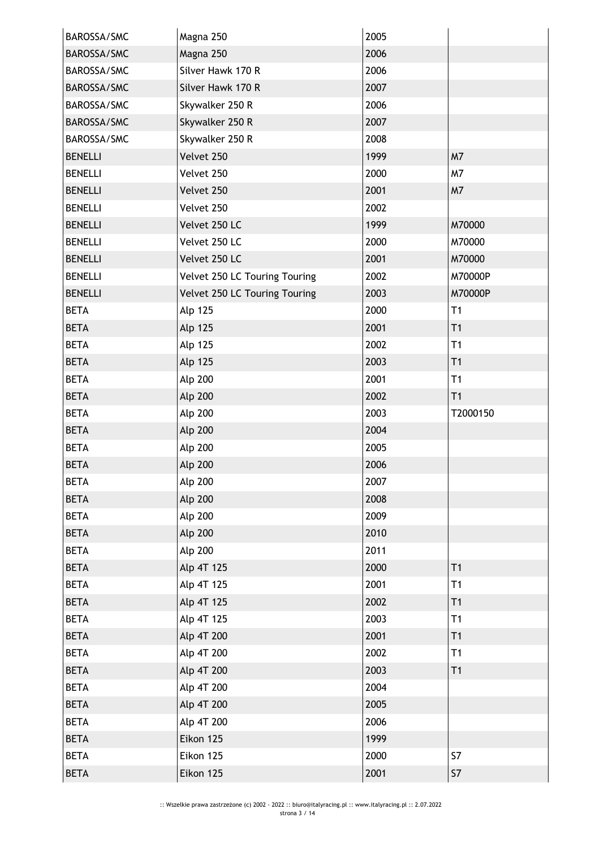| BAROSSA/SMC    | Magna 250                     | 2005 |          |
|----------------|-------------------------------|------|----------|
| BAROSSA/SMC    | Magna 250                     | 2006 |          |
| BAROSSA/SMC    | Silver Hawk 170 R             | 2006 |          |
| BAROSSA/SMC    | Silver Hawk 170 R             | 2007 |          |
| BAROSSA/SMC    | Skywalker 250 R               | 2006 |          |
| BAROSSA/SMC    | Skywalker 250 R               | 2007 |          |
| BAROSSA/SMC    | Skywalker 250 R               | 2008 |          |
| <b>BENELLI</b> | Velvet 250                    | 1999 | M7       |
| <b>BENELLI</b> | Velvet 250                    | 2000 | M7       |
| <b>BENELLI</b> | Velvet 250                    | 2001 | M7       |
| <b>BENELLI</b> | Velvet 250                    | 2002 |          |
| <b>BENELLI</b> | Velvet 250 LC                 | 1999 | M70000   |
| <b>BENELLI</b> | Velvet 250 LC                 | 2000 | M70000   |
| <b>BENELLI</b> | Velvet 250 LC                 | 2001 | M70000   |
| <b>BENELLI</b> | Velvet 250 LC Touring Touring | 2002 | M70000P  |
| <b>BENELLI</b> | Velvet 250 LC Touring Touring | 2003 | M70000P  |
| <b>BETA</b>    | Alp 125                       | 2000 | T1       |
| <b>BETA</b>    | Alp 125                       | 2001 | T1       |
| <b>BETA</b>    | Alp 125                       | 2002 | T1       |
| <b>BETA</b>    | Alp 125                       | 2003 | T1       |
| <b>BETA</b>    | Alp 200                       | 2001 | T1       |
| <b>BETA</b>    | Alp 200                       | 2002 | T1       |
| <b>BETA</b>    | Alp 200                       | 2003 | T2000150 |
| <b>BETA</b>    | Alp 200                       | 2004 |          |
| <b>BETA</b>    | Alp 200                       | 2005 |          |
| <b>BETA</b>    | Alp 200                       | 2006 |          |
| <b>BETA</b>    | Alp 200                       | 2007 |          |
| <b>BETA</b>    | Alp 200                       | 2008 |          |
| <b>BETA</b>    | Alp 200                       | 2009 |          |
| <b>BETA</b>    | Alp 200                       | 2010 |          |
| <b>BETA</b>    | Alp 200                       | 2011 |          |
| <b>BETA</b>    | Alp 4T 125                    | 2000 | T1       |
| <b>BETA</b>    | Alp 4T 125                    | 2001 | T1       |
| <b>BETA</b>    | Alp 4T 125                    | 2002 | T1       |
| <b>BETA</b>    | Alp 4T 125                    | 2003 | T1       |
| <b>BETA</b>    | Alp 4T 200                    | 2001 | T1       |
| <b>BETA</b>    | Alp 4T 200                    | 2002 | T1       |
| <b>BETA</b>    | Alp 4T 200                    | 2003 | T1       |
| <b>BETA</b>    | Alp 4T 200                    | 2004 |          |
| <b>BETA</b>    | Alp 4T 200                    | 2005 |          |
| <b>BETA</b>    | Alp 4T 200                    | 2006 |          |
| <b>BETA</b>    | Eikon 125                     | 1999 |          |
| <b>BETA</b>    | Eikon 125                     | 2000 | S7       |
| <b>BETA</b>    | Eikon 125                     | 2001 | S7       |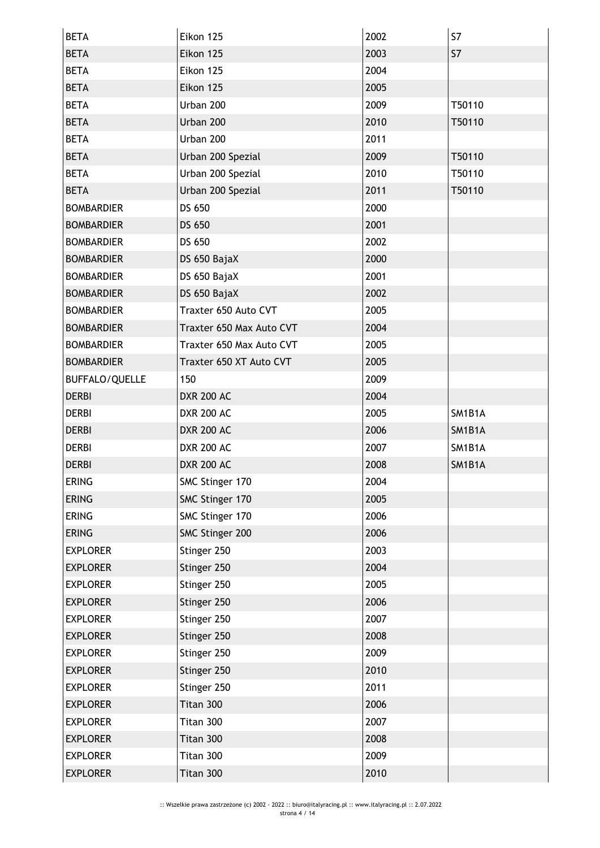| <b>BETA</b>       | Eikon 125                | 2002 | <b>S7</b> |
|-------------------|--------------------------|------|-----------|
| <b>BETA</b>       | Eikon 125                | 2003 | S7        |
| <b>BETA</b>       | Eikon 125                | 2004 |           |
| <b>BETA</b>       | Eikon 125                | 2005 |           |
| <b>BETA</b>       | Urban 200                | 2009 | T50110    |
| <b>BETA</b>       | Urban 200                | 2010 | T50110    |
| <b>BETA</b>       | Urban 200                | 2011 |           |
| <b>BETA</b>       | Urban 200 Spezial        | 2009 | T50110    |
| <b>BETA</b>       | Urban 200 Spezial        | 2010 | T50110    |
| <b>BETA</b>       | Urban 200 Spezial        | 2011 | T50110    |
| <b>BOMBARDIER</b> | DS 650                   | 2000 |           |
| <b>BOMBARDIER</b> | DS 650                   | 2001 |           |
| <b>BOMBARDIER</b> | DS 650                   | 2002 |           |
| <b>BOMBARDIER</b> | DS 650 BajaX             | 2000 |           |
| <b>BOMBARDIER</b> | DS 650 BajaX             | 2001 |           |
| <b>BOMBARDIER</b> | DS 650 BajaX             | 2002 |           |
| <b>BOMBARDIER</b> | Traxter 650 Auto CVT     | 2005 |           |
| <b>BOMBARDIER</b> | Traxter 650 Max Auto CVT | 2004 |           |
| <b>BOMBARDIER</b> | Traxter 650 Max Auto CVT | 2005 |           |
| <b>BOMBARDIER</b> | Traxter 650 XT Auto CVT  | 2005 |           |
| BUFFALO/QUELLE    | 150                      | 2009 |           |
| <b>DERBI</b>      | <b>DXR 200 AC</b>        | 2004 |           |
| <b>DERBI</b>      | <b>DXR 200 AC</b>        | 2005 | SM1B1A    |
| <b>DERBI</b>      | <b>DXR 200 AC</b>        | 2006 | SM1B1A    |
| <b>DERBI</b>      | <b>DXR 200 AC</b>        | 2007 | SM1B1A    |
| <b>DERBI</b>      | <b>DXR 200 AC</b>        | 2008 | SM1B1A    |
| <b>ERING</b>      | SMC Stinger 170          | 2004 |           |
| <b>ERING</b>      | SMC Stinger 170          | 2005 |           |
| <b>ERING</b>      | SMC Stinger 170          | 2006 |           |
| <b>ERING</b>      | SMC Stinger 200          | 2006 |           |
| <b>EXPLORER</b>   | Stinger 250              | 2003 |           |
| <b>EXPLORER</b>   | Stinger 250              | 2004 |           |
| <b>EXPLORER</b>   | Stinger 250              | 2005 |           |
| <b>EXPLORER</b>   | Stinger 250              | 2006 |           |
| <b>EXPLORER</b>   | Stinger 250              | 2007 |           |
| <b>EXPLORER</b>   | Stinger 250              | 2008 |           |
| <b>EXPLORER</b>   | Stinger 250              | 2009 |           |
| <b>EXPLORER</b>   | Stinger 250              | 2010 |           |
| <b>EXPLORER</b>   | Stinger 250              | 2011 |           |
| <b>EXPLORER</b>   | Titan 300                | 2006 |           |
| <b>EXPLORER</b>   | Titan 300                | 2007 |           |
| <b>EXPLORER</b>   | Titan 300                | 2008 |           |
| <b>EXPLORER</b>   | Titan 300                | 2009 |           |
| <b>EXPLORER</b>   | Titan 300                | 2010 |           |
|                   |                          |      |           |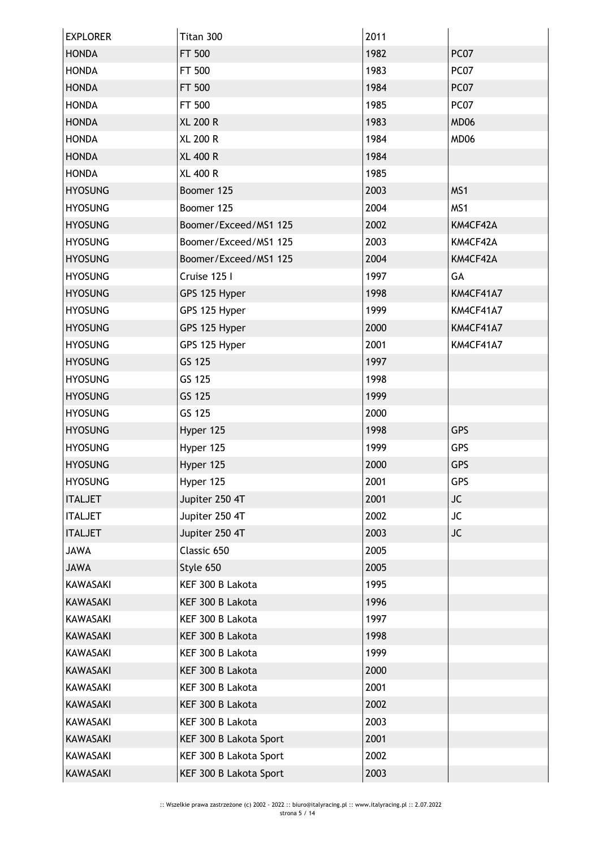| <b>EXPLORER</b> | Titan 300              | 2011 |             |
|-----------------|------------------------|------|-------------|
| <b>HONDA</b>    | FT 500                 | 1982 | <b>PC07</b> |
| <b>HONDA</b>    | FT 500                 | 1983 | PC07        |
| <b>HONDA</b>    | FT 500                 | 1984 | PC07        |
| <b>HONDA</b>    | FT 500                 | 1985 | PC07        |
| <b>HONDA</b>    | <b>XL 200 R</b>        | 1983 | <b>MD06</b> |
| <b>HONDA</b>    | <b>XL 200 R</b>        | 1984 | <b>MD06</b> |
| <b>HONDA</b>    | <b>XL 400 R</b>        | 1984 |             |
| <b>HONDA</b>    | <b>XL 400 R</b>        | 1985 |             |
| <b>HYOSUNG</b>  | Boomer 125             | 2003 | MS1         |
| <b>HYOSUNG</b>  | Boomer 125             | 2004 | MS1         |
| <b>HYOSUNG</b>  | Boomer/Exceed/MS1 125  | 2002 | KM4CF42A    |
| <b>HYOSUNG</b>  | Boomer/Exceed/MS1 125  | 2003 | KM4CF42A    |
| <b>HYOSUNG</b>  | Boomer/Exceed/MS1 125  | 2004 | KM4CF42A    |
| <b>HYOSUNG</b>  | Cruise 125 I           | 1997 | GA          |
| <b>HYOSUNG</b>  | GPS 125 Hyper          | 1998 | KM4CF41A7   |
| <b>HYOSUNG</b>  | GPS 125 Hyper          | 1999 | KM4CF41A7   |
| <b>HYOSUNG</b>  | GPS 125 Hyper          | 2000 | KM4CF41A7   |
| <b>HYOSUNG</b>  | GPS 125 Hyper          | 2001 | KM4CF41A7   |
| <b>HYOSUNG</b>  | GS 125                 | 1997 |             |
| <b>HYOSUNG</b>  | GS 125                 | 1998 |             |
| <b>HYOSUNG</b>  | GS 125                 | 1999 |             |
| <b>HYOSUNG</b>  | GS 125                 | 2000 |             |
| <b>HYOSUNG</b>  | Hyper 125              | 1998 | GPS         |
| <b>HYOSUNG</b>  | Hyper 125              | 1999 | GPS         |
| <b>HYOSUNG</b>  | Hyper 125              | 2000 | <b>GPS</b>  |
| <b>HYOSUNG</b>  | Hyper 125              | 2001 | GPS         |
| <b>ITALJET</b>  | Jupiter 250 4T         | 2001 | JC          |
| <b>ITALJET</b>  | Jupiter 250 4T         | 2002 | JC          |
| <b>ITALJET</b>  | Jupiter 250 4T         | 2003 | JC          |
| <b>AWAL</b>     | Classic 650            | 2005 |             |
| <b>JAWA</b>     | Style 650              | 2005 |             |
| KAWASAKI        | KEF 300 B Lakota       | 1995 |             |
| <b>KAWASAKI</b> | KEF 300 B Lakota       | 1996 |             |
| <b>KAWASAKI</b> | KEF 300 B Lakota       | 1997 |             |
| KAWASAKI        | KEF 300 B Lakota       | 1998 |             |
| KAWASAKI        | KEF 300 B Lakota       | 1999 |             |
| KAWASAKI        | KEF 300 B Lakota       | 2000 |             |
| KAWASAKI        | KEF 300 B Lakota       | 2001 |             |
| <b>KAWASAKI</b> | KEF 300 B Lakota       | 2002 |             |
| KAWASAKI        | KEF 300 B Lakota       | 2003 |             |
| <b>KAWASAKI</b> | KEF 300 B Lakota Sport | 2001 |             |
| <b>KAWASAKI</b> | KEF 300 B Lakota Sport | 2002 |             |
| KAWASAKI        | KEF 300 B Lakota Sport | 2003 |             |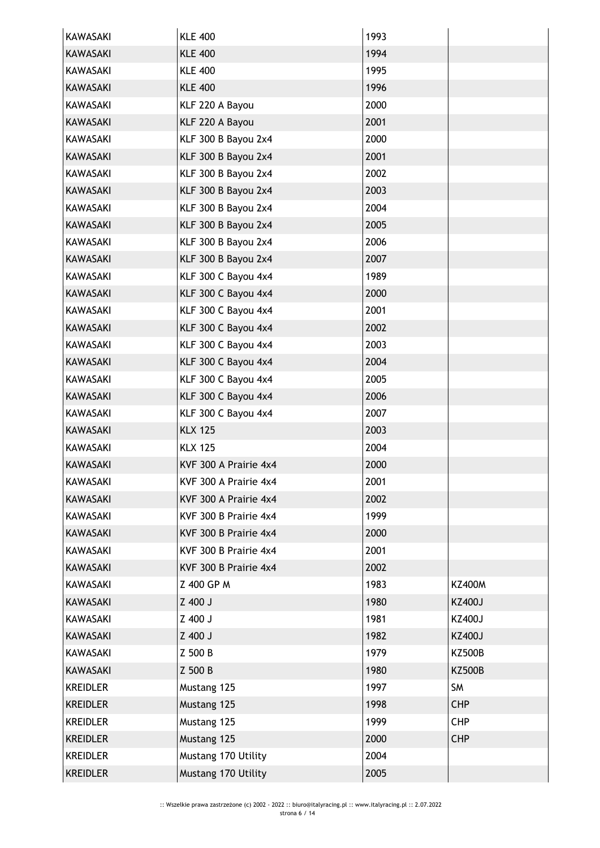| <b>KAWASAKI</b> | <b>KLE 400</b>        | 1993 |               |
|-----------------|-----------------------|------|---------------|
| <b>KAWASAKI</b> | <b>KLE 400</b>        | 1994 |               |
| KAWASAKI        | <b>KLE 400</b>        | 1995 |               |
| <b>KAWASAKI</b> | <b>KLE 400</b>        | 1996 |               |
| KAWASAKI        | KLF 220 A Bayou       | 2000 |               |
| <b>KAWASAKI</b> | KLF 220 A Bayou       | 2001 |               |
| <b>KAWASAKI</b> | KLF 300 B Bayou 2x4   | 2000 |               |
| <b>KAWASAKI</b> | KLF 300 B Bayou 2x4   | 2001 |               |
| KAWASAKI        | KLF 300 B Bayou 2x4   | 2002 |               |
| <b>KAWASAKI</b> | KLF 300 B Bayou 2x4   | 2003 |               |
| <b>KAWASAKI</b> | KLF 300 B Bayou 2x4   | 2004 |               |
| <b>KAWASAKI</b> | KLF 300 B Bayou 2x4   | 2005 |               |
| <b>KAWASAKI</b> | KLF 300 B Bayou 2x4   | 2006 |               |
| <b>KAWASAKI</b> | KLF 300 B Bayou 2x4   | 2007 |               |
| <b>KAWASAKI</b> | KLF 300 C Bayou 4x4   | 1989 |               |
| <b>KAWASAKI</b> | KLF 300 C Bayou 4x4   | 2000 |               |
| <b>KAWASAKI</b> | KLF 300 C Bayou 4x4   | 2001 |               |
| <b>KAWASAKI</b> | KLF 300 C Bayou 4x4   | 2002 |               |
| <b>KAWASAKI</b> | KLF 300 C Bayou 4x4   | 2003 |               |
| <b>KAWASAKI</b> | KLF 300 C Bayou 4x4   | 2004 |               |
| <b>KAWASAKI</b> | KLF 300 C Bayou 4x4   | 2005 |               |
| <b>KAWASAKI</b> | KLF 300 C Bayou 4x4   | 2006 |               |
| <b>KAWASAKI</b> | KLF 300 C Bayou 4x4   | 2007 |               |
| <b>KAWASAKI</b> | <b>KLX 125</b>        | 2003 |               |
| KAWASAKI        | <b>KLX 125</b>        | 2004 |               |
| <b>KAWASAKI</b> | KVF 300 A Prairie 4x4 | 2000 |               |
| KAWASAKI        | KVF 300 A Prairie 4x4 | 2001 |               |
| <b>KAWASAKI</b> | KVF 300 A Prairie 4x4 | 2002 |               |
| KAWASAKI        | KVF 300 B Prairie 4x4 | 1999 |               |
| <b>KAWASAKI</b> | KVF 300 B Prairie 4x4 | 2000 |               |
| <b>KAWASAKI</b> | KVF 300 B Prairie 4x4 | 2001 |               |
| KAWASAKI        | KVF 300 B Prairie 4x4 | 2002 |               |
| KAWASAKI        | Z 400 GP M            | 1983 | <b>KZ400M</b> |
| <b>KAWASAKI</b> | Z 400 J               | 1980 | <b>KZ400J</b> |
| KAWASAKI        | Z 400 J               | 1981 | <b>KZ400J</b> |
| <b>KAWASAKI</b> | Z 400 J               | 1982 | <b>KZ400J</b> |
| KAWASAKI        | Z 500 B               | 1979 | <b>KZ500B</b> |
| KAWASAKI        | Z 500 B               | 1980 | <b>KZ500B</b> |
| <b>KREIDLER</b> | Mustang 125           | 1997 | <b>SM</b>     |
| <b>KREIDLER</b> | Mustang 125           | 1998 | <b>CHP</b>    |
| <b>KREIDLER</b> | Mustang 125           | 1999 | <b>CHP</b>    |
| <b>KREIDLER</b> | Mustang 125           | 2000 | <b>CHP</b>    |
| <b>KREIDLER</b> | Mustang 170 Utility   | 2004 |               |
| <b>KREIDLER</b> | Mustang 170 Utility   | 2005 |               |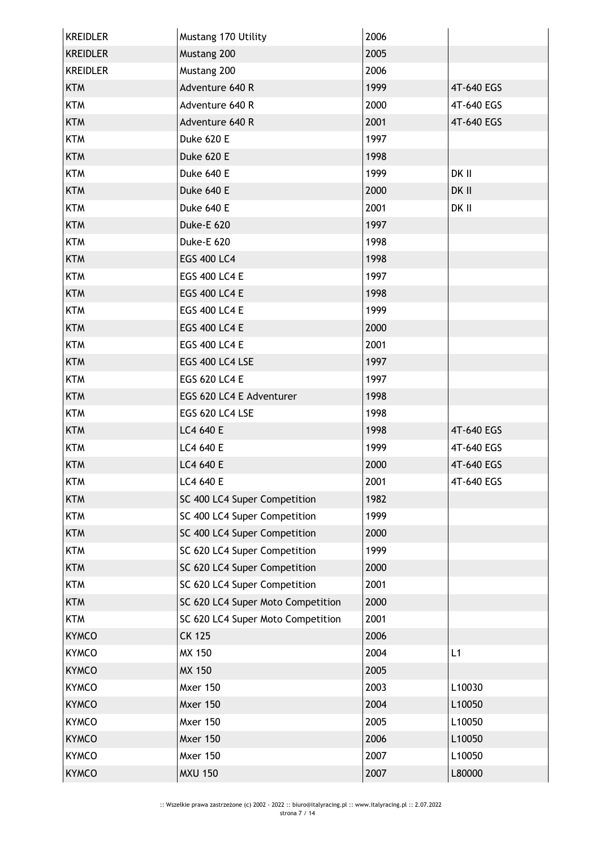| <b>KREIDLER</b> | Mustang 170 Utility               | 2006 |            |
|-----------------|-----------------------------------|------|------------|
| <b>KREIDLER</b> | Mustang 200                       | 2005 |            |
| <b>KREIDLER</b> | Mustang 200                       | 2006 |            |
| <b>KTM</b>      | Adventure 640 R                   | 1999 | 4T-640 EGS |
| <b>KTM</b>      | Adventure 640 R                   | 2000 | 4T-640 EGS |
| <b>KTM</b>      | Adventure 640 R                   | 2001 | 4T-640 EGS |
| <b>KTM</b>      | <b>Duke 620 E</b>                 | 1997 |            |
| <b>KTM</b>      | <b>Duke 620 E</b>                 | 1998 |            |
| <b>KTM</b>      | <b>Duke 640 E</b>                 | 1999 | DK II      |
| <b>KTM</b>      | Duke 640 E                        | 2000 | DK II      |
| <b>KTM</b>      | <b>Duke 640 E</b>                 | 2001 | DK II      |
| <b>KTM</b>      | Duke-E 620                        | 1997 |            |
| <b>KTM</b>      | Duke-E 620                        | 1998 |            |
| <b>KTM</b>      | <b>EGS 400 LC4</b>                | 1998 |            |
| <b>KTM</b>      | <b>EGS 400 LC4 E</b>              | 1997 |            |
| <b>KTM</b>      | <b>EGS 400 LC4 E</b>              | 1998 |            |
| <b>KTM</b>      | <b>EGS 400 LC4 E</b>              | 1999 |            |
| <b>KTM</b>      | <b>EGS 400 LC4 E</b>              | 2000 |            |
| <b>KTM</b>      | <b>EGS 400 LC4 E</b>              | 2001 |            |
| <b>KTM</b>      | EGS 400 LC4 LSE                   | 1997 |            |
| <b>KTM</b>      | EGS 620 LC4 E                     | 1997 |            |
| <b>KTM</b>      | EGS 620 LC4 E Adventurer          | 1998 |            |
| <b>KTM</b>      | EGS 620 LC4 LSE                   | 1998 |            |
| <b>KTM</b>      | LC4 640 E                         | 1998 | 4T-640 EGS |
| <b>KTM</b>      | LC4 640 E                         | 1999 | 4T-640 EGS |
| <b>KTM</b>      | LC4 640 E                         | 2000 | 4T-640 EGS |
| <b>KTM</b>      | LC4 640 E                         | 2001 | 4T-640 EGS |
| <b>KTM</b>      | SC 400 LC4 Super Competition      | 1982 |            |
| <b>KTM</b>      | SC 400 LC4 Super Competition      | 1999 |            |
| <b>KTM</b>      | SC 400 LC4 Super Competition      | 2000 |            |
| <b>KTM</b>      | SC 620 LC4 Super Competition      | 1999 |            |
| <b>KTM</b>      | SC 620 LC4 Super Competition      | 2000 |            |
| <b>KTM</b>      | SC 620 LC4 Super Competition      | 2001 |            |
| <b>KTM</b>      | SC 620 LC4 Super Moto Competition | 2000 |            |
| <b>KTM</b>      | SC 620 LC4 Super Moto Competition | 2001 |            |
| <b>KYMCO</b>    | <b>CK 125</b>                     | 2006 |            |
| <b>KYMCO</b>    | MX 150                            | 2004 | L1         |
| <b>KYMCO</b>    | <b>MX 150</b>                     | 2005 |            |
| <b>KYMCO</b>    | <b>Mxer 150</b>                   | 2003 | L10030     |
| <b>KYMCO</b>    | <b>Mxer 150</b>                   | 2004 | L10050     |
| <b>KYMCO</b>    | <b>Mxer 150</b>                   | 2005 | L10050     |
| <b>KYMCO</b>    | <b>Mxer 150</b>                   | 2006 | L10050     |
| <b>KYMCO</b>    | <b>Mxer 150</b>                   | 2007 | L10050     |
| <b>KYMCO</b>    | <b>MXU 150</b>                    | 2007 | L80000     |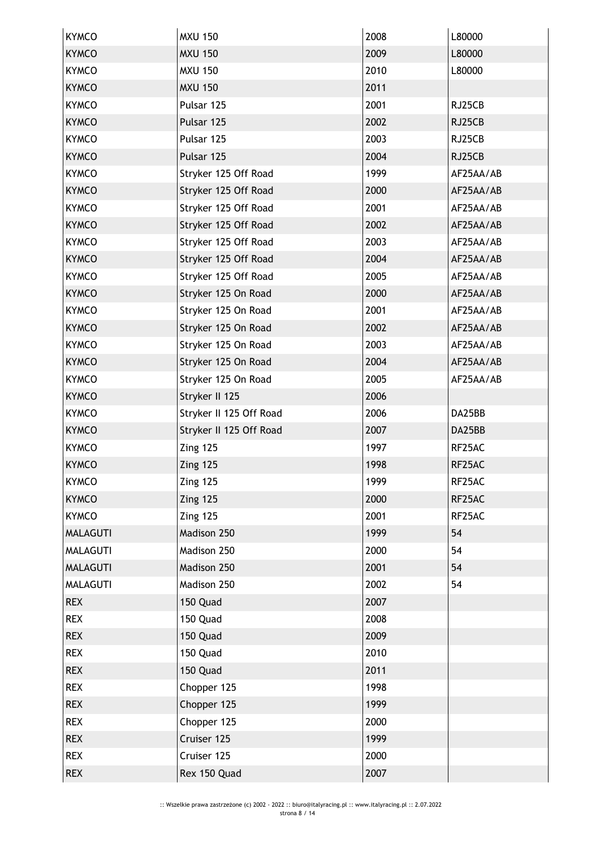| <b>KYMCO</b>    | <b>MXU 150</b>          | 2008 | L80000    |
|-----------------|-------------------------|------|-----------|
| <b>KYMCO</b>    | <b>MXU 150</b>          | 2009 | L80000    |
| <b>KYMCO</b>    | <b>MXU 150</b>          | 2010 | L80000    |
| <b>KYMCO</b>    | <b>MXU 150</b>          | 2011 |           |
| <b>KYMCO</b>    | Pulsar 125              | 2001 | RJ25CB    |
| <b>KYMCO</b>    | Pulsar 125              | 2002 | RJ25CB    |
| <b>KYMCO</b>    | Pulsar 125              | 2003 | RJ25CB    |
| <b>KYMCO</b>    | Pulsar 125              | 2004 | RJ25CB    |
| <b>KYMCO</b>    | Stryker 125 Off Road    | 1999 | AF25AA/AB |
| <b>KYMCO</b>    | Stryker 125 Off Road    | 2000 | AF25AA/AB |
| <b>KYMCO</b>    | Stryker 125 Off Road    | 2001 | AF25AA/AB |
| <b>KYMCO</b>    | Stryker 125 Off Road    | 2002 | AF25AA/AB |
| <b>KYMCO</b>    | Stryker 125 Off Road    | 2003 | AF25AA/AB |
| <b>KYMCO</b>    | Stryker 125 Off Road    | 2004 | AF25AA/AB |
| <b>KYMCO</b>    | Stryker 125 Off Road    | 2005 | AF25AA/AB |
| <b>KYMCO</b>    | Stryker 125 On Road     | 2000 | AF25AA/AB |
| <b>KYMCO</b>    | Stryker 125 On Road     | 2001 | AF25AA/AB |
| <b>KYMCO</b>    | Stryker 125 On Road     | 2002 | AF25AA/AB |
| <b>KYMCO</b>    | Stryker 125 On Road     | 2003 | AF25AA/AB |
| <b>KYMCO</b>    | Stryker 125 On Road     | 2004 | AF25AA/AB |
| <b>KYMCO</b>    | Stryker 125 On Road     | 2005 | AF25AA/AB |
| <b>KYMCO</b>    | Stryker II 125          | 2006 |           |
| <b>KYMCO</b>    | Stryker II 125 Off Road | 2006 | DA25BB    |
| <b>KYMCO</b>    | Stryker II 125 Off Road | 2007 | DA25BB    |
| <b>KYMCO</b>    | <b>Zing 125</b>         | 1997 | RF25AC    |
| <b>KYMCO</b>    | <b>Zing 125</b>         | 1998 | RF25AC    |
| <b>KYMCO</b>    | Zing 125                | 1999 | RF25AC    |
| <b>KYMCO</b>    | <b>Zing 125</b>         | 2000 | RF25AC    |
| <b>KYMCO</b>    | $Zing$ 125              | 2001 | RF25AC    |
| <b>MALAGUTI</b> | Madison 250             | 1999 | 54        |
| <b>MALAGUTI</b> | Madison 250             | 2000 | 54        |
| <b>MALAGUTI</b> | Madison 250             | 2001 | 54        |
| <b>MALAGUTI</b> | Madison 250             | 2002 | 54        |
| <b>REX</b>      | 150 Quad                | 2007 |           |
| <b>REX</b>      | 150 Quad                | 2008 |           |
| <b>REX</b>      | 150 Quad                | 2009 |           |
| <b>REX</b>      | 150 Quad                | 2010 |           |
| <b>REX</b>      | 150 Quad                | 2011 |           |
| <b>REX</b>      | Chopper 125             | 1998 |           |
| <b>REX</b>      | Chopper 125             | 1999 |           |
| <b>REX</b>      | Chopper 125             | 2000 |           |
| <b>REX</b>      | Cruiser 125             | 1999 |           |
| <b>REX</b>      | Cruiser 125             | 2000 |           |
| <b>REX</b>      | Rex 150 Quad            | 2007 |           |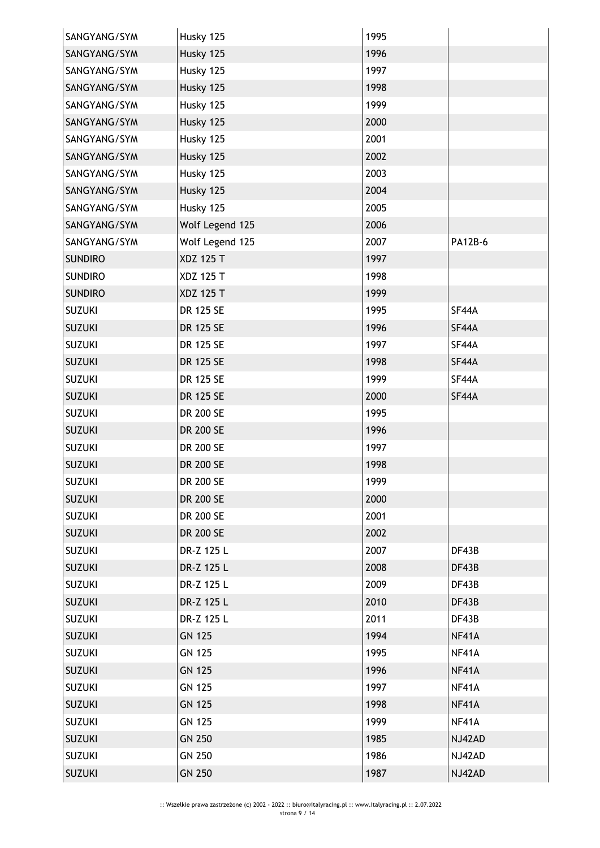| SANGYANG/SYM   | Husky 125        | 1995 |         |
|----------------|------------------|------|---------|
| SANGYANG/SYM   | Husky 125        | 1996 |         |
| SANGYANG/SYM   | Husky 125        | 1997 |         |
| SANGYANG/SYM   | Husky 125        | 1998 |         |
| SANGYANG/SYM   | Husky 125        | 1999 |         |
| SANGYANG/SYM   | Husky 125        | 2000 |         |
| SANGYANG/SYM   | Husky 125        | 2001 |         |
| SANGYANG/SYM   | Husky 125        | 2002 |         |
| SANGYANG/SYM   | Husky 125        | 2003 |         |
| SANGYANG/SYM   | Husky 125        | 2004 |         |
| SANGYANG/SYM   | Husky 125        | 2005 |         |
| SANGYANG/SYM   | Wolf Legend 125  | 2006 |         |
| SANGYANG/SYM   | Wolf Legend 125  | 2007 | PA12B-6 |
| <b>SUNDIRO</b> | <b>XDZ 125 T</b> | 1997 |         |
| <b>SUNDIRO</b> | <b>XDZ 125 T</b> | 1998 |         |
| <b>SUNDIRO</b> | XDZ 125 T        | 1999 |         |
| <b>SUZUKI</b>  | DR 125 SE        | 1995 | SF44A   |
| <b>SUZUKI</b>  | <b>DR 125 SE</b> | 1996 | SF44A   |
| <b>SUZUKI</b>  | DR 125 SE        | 1997 | SF44A   |
| <b>SUZUKI</b>  | DR 125 SE        | 1998 | SF44A   |
| <b>SUZUKI</b>  | DR 125 SE        | 1999 | SF44A   |
| <b>SUZUKI</b>  | <b>DR 125 SE</b> | 2000 | SF44A   |
| <b>SUZUKI</b>  | DR 200 SE        | 1995 |         |
| <b>SUZUKI</b>  | <b>DR 200 SE</b> | 1996 |         |
| <b>SUZUKI</b>  | <b>DR 200 SE</b> | 1997 |         |
| <b>SUZUKI</b>  | <b>DR 200 SE</b> | 1998 |         |
| <b>SUZUKI</b>  | <b>DR 200 SE</b> | 1999 |         |
| <b>SUZUKI</b>  | <b>DR 200 SE</b> | 2000 |         |
| <b>SUZUKI</b>  | <b>DR 200 SE</b> | 2001 |         |
| <b>SUZUKI</b>  | DR 200 SE        | 2002 |         |
| <b>SUZUKI</b>  | DR-Z 125 L       | 2007 | DF43B   |
| <b>SUZUKI</b>  | DR-Z 125 L       | 2008 | DF43B   |
| <b>SUZUKI</b>  | DR-Z 125 L       | 2009 | DF43B   |
| <b>SUZUKI</b>  | DR-Z 125 L       | 2010 | DF43B   |
| <b>SUZUKI</b>  | DR-Z 125 L       | 2011 | DF43B   |
| <b>SUZUKI</b>  | <b>GN 125</b>    | 1994 | NF41A   |
| <b>SUZUKI</b>  | <b>GN 125</b>    | 1995 | NF41A   |
| <b>SUZUKI</b>  | <b>GN 125</b>    | 1996 | NF41A   |
| <b>SUZUKI</b>  | <b>GN 125</b>    | 1997 | NF41A   |
| <b>SUZUKI</b>  | <b>GN 125</b>    | 1998 | NF41A   |
| <b>SUZUKI</b>  | <b>GN 125</b>    | 1999 | NF41A   |
| <b>SUZUKI</b>  | <b>GN 250</b>    | 1985 | NJ42AD  |
| <b>SUZUKI</b>  | <b>GN 250</b>    | 1986 | NJ42AD  |
| <b>SUZUKI</b>  | <b>GN 250</b>    | 1987 | NJ42AD  |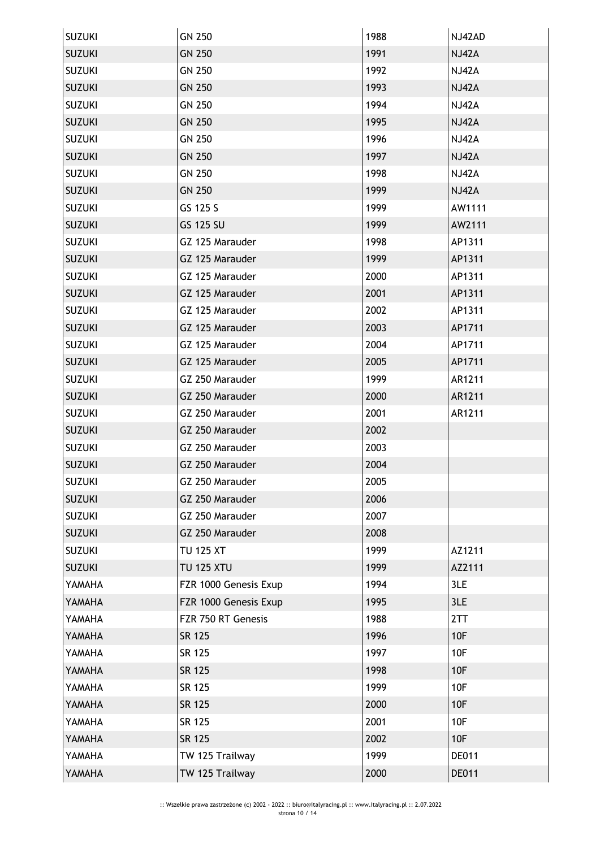| <b>SUZUKI</b> | <b>GN 250</b>         | 1988 | NJ42AD       |
|---------------|-----------------------|------|--------------|
| <b>SUZUKI</b> | <b>GN 250</b>         | 1991 | NJ42A        |
| <b>SUZUKI</b> | <b>GN 250</b>         | 1992 | NJ42A        |
| <b>SUZUKI</b> | <b>GN 250</b>         | 1993 | NJ42A        |
| <b>SUZUKI</b> | <b>GN 250</b>         | 1994 | <b>NJ42A</b> |
| <b>SUZUKI</b> | <b>GN 250</b>         | 1995 | NJ42A        |
| <b>SUZUKI</b> | <b>GN 250</b>         | 1996 | NJ42A        |
| <b>SUZUKI</b> | <b>GN 250</b>         | 1997 | <b>NJ42A</b> |
| <b>SUZUKI</b> | <b>GN 250</b>         | 1998 | NJ42A        |
| <b>SUZUKI</b> | <b>GN 250</b>         | 1999 | NJ42A        |
| <b>SUZUKI</b> | GS 125 S              | 1999 | AW1111       |
| <b>SUZUKI</b> | GS 125 SU             | 1999 | AW2111       |
| <b>SUZUKI</b> | GZ 125 Marauder       | 1998 | AP1311       |
| <b>SUZUKI</b> | GZ 125 Marauder       | 1999 | AP1311       |
| <b>SUZUKI</b> | GZ 125 Marauder       | 2000 | AP1311       |
| <b>SUZUKI</b> | GZ 125 Marauder       | 2001 | AP1311       |
| <b>SUZUKI</b> | GZ 125 Marauder       | 2002 | AP1311       |
| <b>SUZUKI</b> | GZ 125 Marauder       | 2003 | AP1711       |
| <b>SUZUKI</b> | GZ 125 Marauder       | 2004 | AP1711       |
| <b>SUZUKI</b> | GZ 125 Marauder       | 2005 | AP1711       |
| <b>SUZUKI</b> | GZ 250 Marauder       | 1999 | AR1211       |
| <b>SUZUKI</b> | GZ 250 Marauder       | 2000 | AR1211       |
| <b>SUZUKI</b> | GZ 250 Marauder       | 2001 | AR1211       |
| <b>SUZUKI</b> | GZ 250 Marauder       | 2002 |              |
| <b>SUZUKI</b> | GZ 250 Marauder       | 2003 |              |
| <b>SUZUKI</b> | GZ 250 Marauder       | 2004 |              |
| <b>SUZUKI</b> | GZ 250 Marauder       | 2005 |              |
| <b>SUZUKI</b> | GZ 250 Marauder       | 2006 |              |
| <b>SUZUKI</b> | GZ 250 Marauder       | 2007 |              |
| <b>SUZUKI</b> | GZ 250 Marauder       | 2008 |              |
| <b>SUZUKI</b> | <b>TU 125 XT</b>      | 1999 | AZ1211       |
| <b>SUZUKI</b> | <b>TU 125 XTU</b>     | 1999 | AZ2111       |
| YAMAHA        | FZR 1000 Genesis Exup | 1994 | 3LE          |
| YAMAHA        | FZR 1000 Genesis Exup | 1995 | 3LE          |
| YAMAHA        | FZR 750 RT Genesis    | 1988 | 2TT          |
| YAMAHA        | SR 125                | 1996 | 10F          |
| YAMAHA        | SR 125                | 1997 | 10F          |
| YAMAHA        | SR 125                | 1998 | 10F          |
| YAMAHA        | SR 125                | 1999 | 10F          |
| YAMAHA        | SR 125                | 2000 | 10F          |
| YAMAHA        | SR 125                | 2001 | 10F          |
| YAMAHA        | SR 125                | 2002 | 10F          |
| YAMAHA        | TW 125 Trailway       | 1999 | <b>DE011</b> |
| YAMAHA        | TW 125 Trailway       | 2000 | <b>DE011</b> |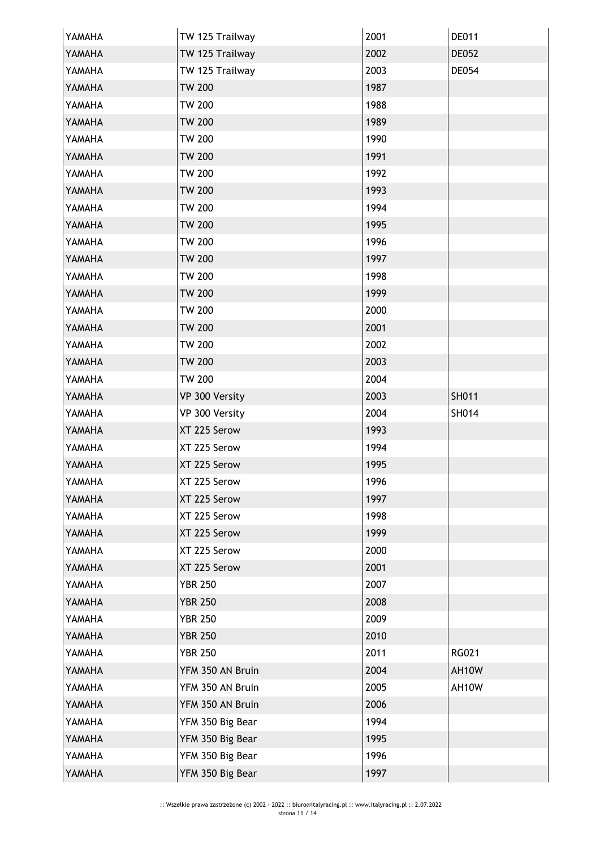| YAMAHA | TW 125 Trailway  | 2001 | <b>DE011</b> |
|--------|------------------|------|--------------|
| YAMAHA | TW 125 Trailway  | 2002 | <b>DE052</b> |
| YAMAHA | TW 125 Trailway  | 2003 | <b>DE054</b> |
| YAMAHA | <b>TW 200</b>    | 1987 |              |
| YAMAHA | <b>TW 200</b>    | 1988 |              |
| YAMAHA | <b>TW 200</b>    | 1989 |              |
| YAMAHA | <b>TW 200</b>    | 1990 |              |
| YAMAHA | <b>TW 200</b>    | 1991 |              |
| YAMAHA | <b>TW 200</b>    | 1992 |              |
| YAMAHA | <b>TW 200</b>    | 1993 |              |
| YAMAHA | <b>TW 200</b>    | 1994 |              |
| YAMAHA | <b>TW 200</b>    | 1995 |              |
| YAMAHA | <b>TW 200</b>    | 1996 |              |
| YAMAHA | <b>TW 200</b>    | 1997 |              |
| YAMAHA | <b>TW 200</b>    | 1998 |              |
| YAMAHA | <b>TW 200</b>    | 1999 |              |
| YAMAHA | <b>TW 200</b>    | 2000 |              |
| YAMAHA | <b>TW 200</b>    | 2001 |              |
| YAMAHA | <b>TW 200</b>    | 2002 |              |
| YAMAHA | <b>TW 200</b>    | 2003 |              |
| YAMAHA | <b>TW 200</b>    | 2004 |              |
| YAMAHA | VP 300 Versity   | 2003 | SH011        |
| YAMAHA | VP 300 Versity   | 2004 | SH014        |
| YAMAHA | XT 225 Serow     | 1993 |              |
| YAMAHA | XT 225 Serow     | 1994 |              |
| YAMAHA | XT 225 Serow     | 1995 |              |
| YAMAHA | XT 225 Serow     | 1996 |              |
| YAMAHA | XT 225 Serow     | 1997 |              |
| YAMAHA | XT 225 Serow     | 1998 |              |
| YAMAHA | XT 225 Serow     | 1999 |              |
| YAMAHA | XT 225 Serow     | 2000 |              |
| YAMAHA | XT 225 Serow     | 2001 |              |
| YAMAHA | <b>YBR 250</b>   | 2007 |              |
| YAMAHA | <b>YBR 250</b>   | 2008 |              |
| YAMAHA | <b>YBR 250</b>   | 2009 |              |
| YAMAHA | <b>YBR 250</b>   | 2010 |              |
| YAMAHA | <b>YBR 250</b>   | 2011 | <b>RG021</b> |
| YAMAHA | YFM 350 AN Bruin | 2004 | AH10W        |
| YAMAHA | YFM 350 AN Bruin | 2005 | AH10W        |
| YAMAHA | YFM 350 AN Bruin | 2006 |              |
| YAMAHA | YFM 350 Big Bear | 1994 |              |
| YAMAHA | YFM 350 Big Bear | 1995 |              |
| YAMAHA | YFM 350 Big Bear | 1996 |              |
| YAMAHA | YFM 350 Big Bear | 1997 |              |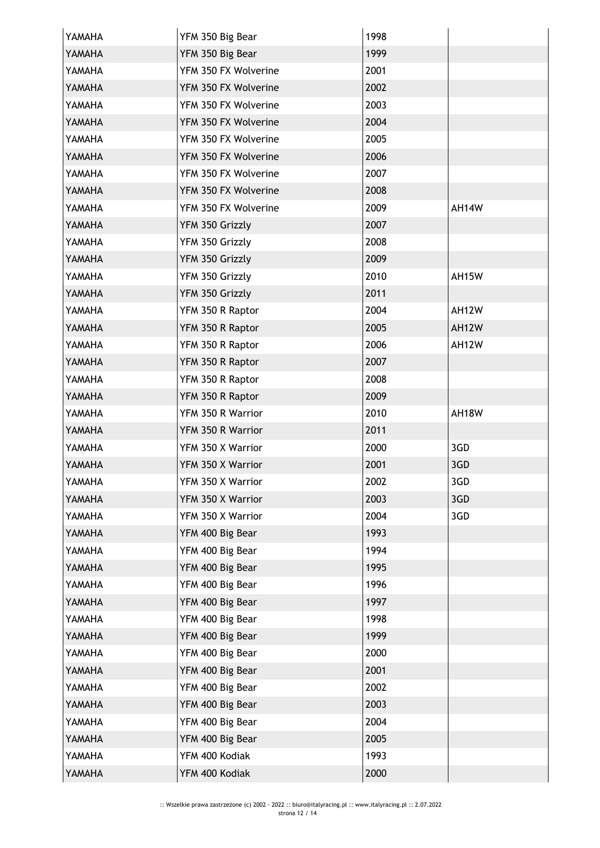| YAMAHA | YFM 350 Big Bear     | 1998 |       |
|--------|----------------------|------|-------|
| YAMAHA | YFM 350 Big Bear     | 1999 |       |
| YAMAHA | YFM 350 FX Wolverine | 2001 |       |
| YAMAHA | YFM 350 FX Wolverine | 2002 |       |
| YAMAHA | YFM 350 FX Wolverine | 2003 |       |
| YAMAHA | YFM 350 FX Wolverine | 2004 |       |
| YAMAHA | YFM 350 FX Wolverine | 2005 |       |
| YAMAHA | YFM 350 FX Wolverine | 2006 |       |
| YAMAHA | YFM 350 FX Wolverine | 2007 |       |
| YAMAHA | YFM 350 FX Wolverine | 2008 |       |
| YAMAHA | YFM 350 FX Wolverine | 2009 | AH14W |
| YAMAHA | YFM 350 Grizzly      | 2007 |       |
| YAMAHA | YFM 350 Grizzly      | 2008 |       |
| YAMAHA | YFM 350 Grizzly      | 2009 |       |
| YAMAHA | YFM 350 Grizzly      | 2010 | AH15W |
| YAMAHA | YFM 350 Grizzly      | 2011 |       |
| YAMAHA | YFM 350 R Raptor     | 2004 | AH12W |
| YAMAHA | YFM 350 R Raptor     | 2005 | AH12W |
| YAMAHA | YFM 350 R Raptor     | 2006 | AH12W |
| YAMAHA | YFM 350 R Raptor     | 2007 |       |
| YAMAHA | YFM 350 R Raptor     | 2008 |       |
| YAMAHA | YFM 350 R Raptor     | 2009 |       |
|        |                      |      |       |
| YAMAHA | YFM 350 R Warrior    | 2010 | AH18W |
| YAMAHA | YFM 350 R Warrior    | 2011 |       |
| YAMAHA | YFM 350 X Warrior    | 2000 | 3GD   |
| YAMAHA | YFM 350 X Warrior    | 2001 | 3GD   |
| YAMAHA | YFM 350 X Warrior    | 2002 | 3GD   |
| YAMAHA | YFM 350 X Warrior    | 2003 | 3GD   |
| YAMAHA | YFM 350 X Warrior    | 2004 | 3GD   |
| YAMAHA | YFM 400 Big Bear     | 1993 |       |
| YAMAHA | YFM 400 Big Bear     | 1994 |       |
| YAMAHA | YFM 400 Big Bear     | 1995 |       |
| YAMAHA | YFM 400 Big Bear     | 1996 |       |
| YAMAHA | YFM 400 Big Bear     | 1997 |       |
| YAMAHA | YFM 400 Big Bear     | 1998 |       |
| YAMAHA | YFM 400 Big Bear     | 1999 |       |
| YAMAHA | YFM 400 Big Bear     | 2000 |       |
| YAMAHA | YFM 400 Big Bear     | 2001 |       |
| YAMAHA | YFM 400 Big Bear     | 2002 |       |
| YAMAHA | YFM 400 Big Bear     | 2003 |       |
| YAMAHA | YFM 400 Big Bear     | 2004 |       |
| YAMAHA | YFM 400 Big Bear     | 2005 |       |
| YAMAHA | YFM 400 Kodiak       | 1993 |       |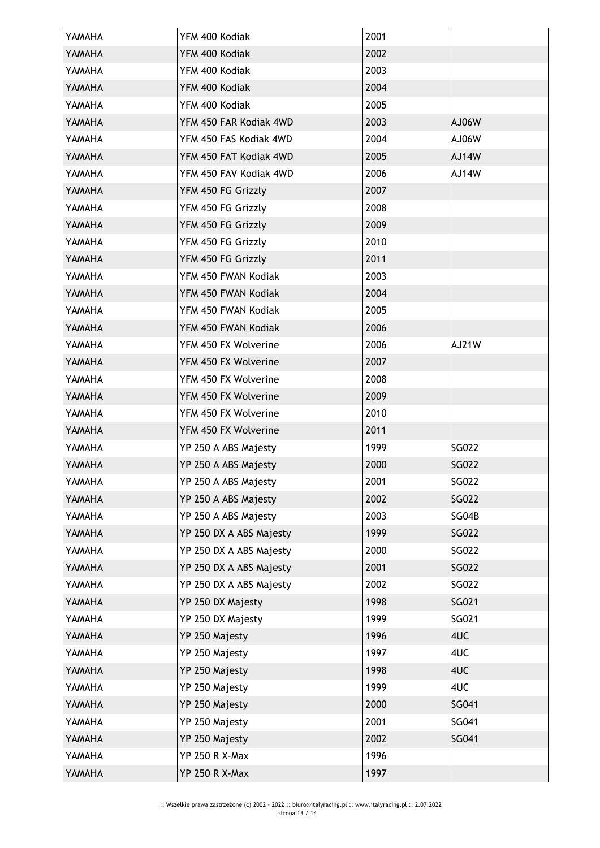| YAMAHA | YFM 400 Kodiak          | 2001 |       |
|--------|-------------------------|------|-------|
| YAMAHA | YFM 400 Kodiak          | 2002 |       |
| YAMAHA | YFM 400 Kodiak          | 2003 |       |
| YAMAHA | YFM 400 Kodiak          | 2004 |       |
| YAMAHA | YFM 400 Kodiak          | 2005 |       |
| YAMAHA | YFM 450 FAR Kodiak 4WD  | 2003 | AJ06W |
| YAMAHA | YFM 450 FAS Kodiak 4WD  | 2004 | AJ06W |
| YAMAHA | YFM 450 FAT Kodiak 4WD  | 2005 | AJ14W |
| YAMAHA | YFM 450 FAV Kodiak 4WD  | 2006 | AJ14W |
| YAMAHA | YFM 450 FG Grizzly      | 2007 |       |
| YAMAHA | YFM 450 FG Grizzly      | 2008 |       |
| YAMAHA | YFM 450 FG Grizzly      | 2009 |       |
| YAMAHA | YFM 450 FG Grizzly      | 2010 |       |
| YAMAHA | YFM 450 FG Grizzly      | 2011 |       |
| YAMAHA | YFM 450 FWAN Kodiak     | 2003 |       |
| YAMAHA | YFM 450 FWAN Kodiak     | 2004 |       |
| YAMAHA | YFM 450 FWAN Kodiak     | 2005 |       |
| YAMAHA | YFM 450 FWAN Kodiak     | 2006 |       |
| YAMAHA | YFM 450 FX Wolverine    | 2006 | AJ21W |
| YAMAHA | YFM 450 FX Wolverine    | 2007 |       |
| YAMAHA | YFM 450 FX Wolverine    | 2008 |       |
| YAMAHA | YFM 450 FX Wolverine    | 2009 |       |
| YAMAHA | YFM 450 FX Wolverine    | 2010 |       |
| YAMAHA | YFM 450 FX Wolverine    | 2011 |       |
| YAMAHA | YP 250 A ABS Majesty    | 1999 | SG022 |
| YAMAHA | YP 250 A ABS Majesty    | 2000 | SG022 |
| YAMAHA | YP 250 A ABS Majesty    | 2001 | SG022 |
| YAMAHA | YP 250 A ABS Majesty    | 2002 | SG022 |
| YAMAHA | YP 250 A ABS Majesty    | 2003 | SG04B |
| YAMAHA | YP 250 DX A ABS Majesty | 1999 | SG022 |
| YAMAHA | YP 250 DX A ABS Majesty | 2000 | SG022 |
| YAMAHA | YP 250 DX A ABS Majesty | 2001 | SG022 |
| YAMAHA | YP 250 DX A ABS Majesty | 2002 | SG022 |
| YAMAHA | YP 250 DX Majesty       | 1998 | SG021 |
| YAMAHA | YP 250 DX Majesty       | 1999 | SG021 |
| YAMAHA | YP 250 Majesty          | 1996 | 4UC   |
| YAMAHA | YP 250 Majesty          | 1997 | 4UC   |
| YAMAHA | YP 250 Majesty          | 1998 | 4UC   |
| YAMAHA | YP 250 Majesty          | 1999 | 4UC   |
| YAMAHA | YP 250 Majesty          | 2000 | SG041 |
| YAMAHA | YP 250 Majesty          | 2001 | SG041 |
| YAMAHA | YP 250 Majesty          | 2002 | SG041 |
| YAMAHA | <b>YP 250 R X-Max</b>   | 1996 |       |
| YAMAHA | <b>YP 250 R X-Max</b>   | 1997 |       |